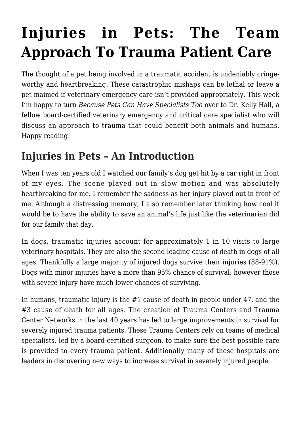# **[Injuries in Pets: The Team](https://criticalcaredvm.com/injuries-in-pets-the-team-approach-to-trauma-patient-care/) [Approach To Trauma Patient Care](https://criticalcaredvm.com/injuries-in-pets-the-team-approach-to-trauma-patient-care/)**

The thought of a pet being involved in a traumatic accident is undeniably cringeworthy and heartbreaking. These catastrophic mishaps can be lethal or leave a pet maimed if veterinary emergency care isn't provided appropriately. This week I'm happy to turn *[Because Pets Can Have Specialists Too](http://www.criticalcaredvm.com)* over to Dr. Kelly Hall, a fellow board-certified veterinary emergency and critical care specialist who will discuss an approach to trauma that could benefit both animals and humans. Happy reading!

## **Injuries in Pets – An Introduction**

When I was ten years old I watched our family's dog get hit by a car right in front of my eyes. The scene played out in slow motion and was absolutely heartbreaking for me. I remember the sadness as her injury played out in front of me. Although a distressing memory, I also remember later thinking how cool it would be to have the ability to save an animal's life just like the veterinarian did for our family that day.

In dogs, traumatic injuries account for approximately 1 in 10 visits to large veterinary hospitals. They are also the second leading cause of death in dogs of all ages. Thankfully a large majority of injured dogs survive their injuries (88-91%). Dogs with minor injuries have a more than 95% chance of survival; however those with severe injury have much lower chances of surviving.

In humans, traumatic injury is the #1 cause of death in people under 47, and the #3 cause of death for all ages. The creation of [Trauma Centers](https://www.facs.org/quality-programs/trauma) and Trauma Center Networks in the last 40 years has led to large improvements in survival for severely injured trauma patients. These Trauma Centers rely on teams of medical specialists, led by a board-certified surgeon, to make sure the best possible care is provided to every trauma patient. Additionally many of these hospitals are leaders in discovering new ways to increase survival in severely injured people.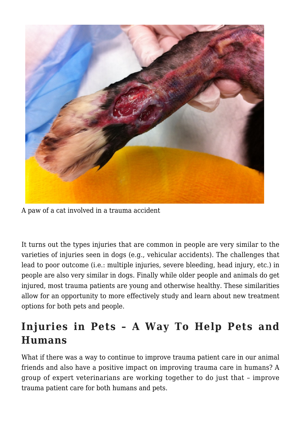

A paw of a cat involved in a trauma accident

It turns out the types injuries that are common in people are very similar to the varieties of injuries seen in dogs (e.g., vehicular accidents). The challenges that lead to poor outcome (i.e.: multiple injuries, severe bleeding, head injury, etc.) in people are also very similar in dogs. Finally while older people and animals do get injured, most trauma patients are young and otherwise healthy. These similarities allow for an opportunity to more effectively study and learn about new treatment options for both pets and people.

### **Injuries in Pets – A Way To Help Pets and Humans**

What if there was a way to continue to improve trauma patient care in our animal friends and also have a positive impact on improving trauma care in humans? A group of expert veterinarians are working together to do just that – improve trauma patient care for both humans and pets.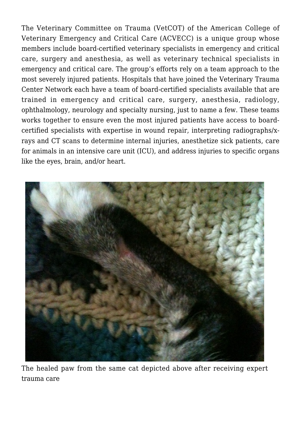The [Veterinary Committee on Trauma \(VetCOT\)](https://sites.google.com/a/umn.edu/vetcot/home/committee-members) of the [American College of](http://www.acvecc.org) [Veterinary Emergency and Critical Care \(ACVECC\)](http://www.acvecc.org) is a unique group whose members include board-certified veterinary specialists in emergency and critical care, surgery and anesthesia, as well as veterinary technical specialists in emergency and critical care. The group's efforts rely on a team approach to the most severely injured patients. Hospitals that have joined the [Veterinary Trauma](https://www.google.com/maps/d/edit?mid=z9pRG9G2kB9E.kPOLtTX0x6GM) [Center Network](https://www.google.com/maps/d/edit?mid=z9pRG9G2kB9E.kPOLtTX0x6GM) each have a team of board-certified specialists available that are trained in emergency and critical care, surgery, anesthesia, radiology, ophthalmology, neurology and specialty nursing, just to name a few. These teams works together to ensure even the most injured patients have access to boardcertified specialists with expertise in wound repair, interpreting radiographs/xrays and CT scans to determine internal injuries, anesthetize sick patients, care for animals in an intensive care unit (ICU), and address injuries to specific organs like the eyes, brain, and/or heart.



The healed paw from the same cat depicted above after receiving expert trauma care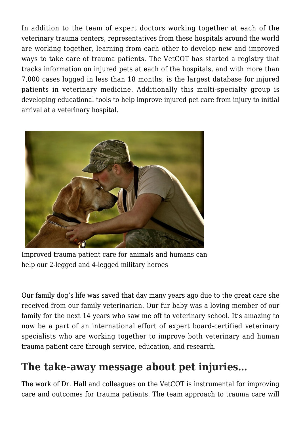In addition to the team of expert doctors working together at each of the veterinary trauma centers, representatives from these hospitals around the world are working together, learning from each other to develop new and improved ways to take care of trauma patients. The VetCOT has started a registry that tracks information on injured pets at each of the hospitals, and with more than 7,000 cases logged in less than 18 months, is the largest database for injured patients in veterinary medicine. Additionally this multi-specialty group is developing educational tools to help improve injured pet care from injury to initial arrival at a veterinary hospital.



Improved trauma patient care for animals and humans can help our 2-legged and 4-legged military heroes

Our family dog's life was saved that day many years ago due to the great care she received from our family veterinarian. Our fur baby was a loving member of our family for the next 14 years who saw me off to veterinary school. It's amazing to now be a part of an international effort of expert board-certified veterinary specialists who are working together to improve both veterinary and human trauma patient care through service, education, and research.

#### **The take-away message about pet injuries…**

The work of Dr. Hall and colleagues on the VetCOT is instrumental for improving care and outcomes for trauma patients. The team approach to trauma care will